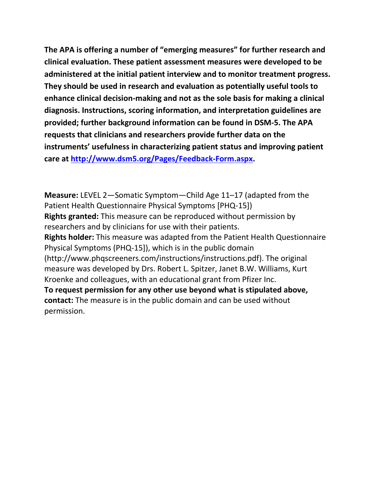**The APA is offering a number of "emerging measures" for further research and clinical evaluation. These patient assessment measures were developed to be administered at the initial patient interview and to monitor treatment progress. They should be used in research and evaluation as potentially useful tools to enhance clinical decision-making and not as the sole basis for making a clinical diagnosis. Instructions, scoring information, and interpretation guidelines are provided; further background information can be found in DSM-5. The APA requests that clinicians and researchers provide further data on the instruments' usefulness in characterizing patient status and improving patient care at [http://www.dsm5.org/Pages/Feedback-Form.aspx.](http://www.dsm5.org/Pages/Feedback-Form.aspx)**

**Measure:** LEVEL 2—Somatic Symptom—Child Age 11–17 (adapted from the Patient Health Questionnaire Physical Symptoms [PHQ-15]) **Rights granted:** This measure can be reproduced without permission by researchers and by clinicians for use with their patients. **Rights holder:** This measure was adapted from the Patient Health Questionnaire Physical Symptoms (PHQ-15]), which is in the public domain (http://www.phqscreeners.com/instructions/instructions.pdf). The original measure was developed by Drs. Robert L. Spitzer, Janet B.W. Williams, Kurt Kroenke and colleagues, with an educational grant from Pfizer Inc. **To request permission for any other use beyond what is stipulated above, contact:** The measure is in the public domain and can be used without permission.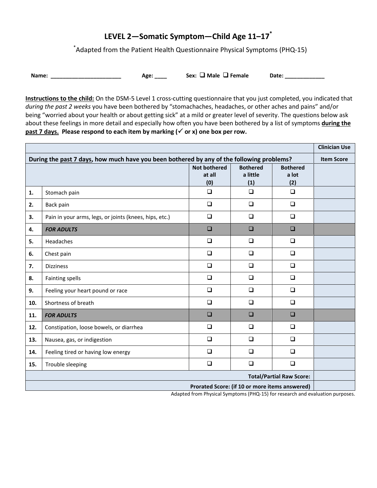# **LEVEL 2—Somatic Symptom—Child Age 11–17\***

\* Adapted from the Patient Health Questionnaire Physical Symptoms (PHQ-15)

**Name:** \_\_\_\_\_\_\_\_\_\_\_\_\_\_\_\_\_\_\_\_\_\_\_\_\_\_\_\_ Age: \_\_\_\_\_ Sex: **□** Male □ Female Date: \_\_\_\_\_\_\_\_\_

**Instructions to the child:** On the DSM-5 Level 1 cross-cutting questionnaire that you just completed, you indicated that *during the past 2 weeks* you have been bothered by "stomachaches, headaches, or other aches and pains" and/or being "worried about your health or about getting sick" at a mild or greater level of severity. The questions below ask about these feelings in more detail and especially how often you have been bothered by a list of symptoms **during the past 7** days. Please respond to each item by marking ( $\checkmark$  or x) one box per row.

|                                                                                                                |                                                        |                                      |                                    |                                 | <b>Clinician Use</b> |
|----------------------------------------------------------------------------------------------------------------|--------------------------------------------------------|--------------------------------------|------------------------------------|---------------------------------|----------------------|
| During the past 7 days, how much have you been bothered by any of the following problems?<br><b>Item Score</b> |                                                        |                                      |                                    |                                 |                      |
|                                                                                                                |                                                        | <b>Not bothered</b><br>at all<br>(0) | <b>Bothered</b><br>a little<br>(1) | <b>Bothered</b><br>a lot<br>(2) |                      |
| 1.                                                                                                             | Stomach pain                                           | $\Box$                               | $\Box$                             | $\Box$                          |                      |
| 2.                                                                                                             | Back pain                                              | $\Box$                               | $\Box$                             | $\Box$                          |                      |
| 3.                                                                                                             | Pain in your arms, legs, or joints (knees, hips, etc.) | $\Box$                               | $\Box$                             | $\Box$                          |                      |
| 4.                                                                                                             | <b>FOR ADULTS</b>                                      | $\Box$                               | $\Box$                             | $\Box$                          |                      |
| 5.                                                                                                             | <b>Headaches</b>                                       | $\Box$                               | $\Box$                             | $\Box$                          |                      |
| 6.                                                                                                             | Chest pain                                             | $\Box$                               | $\Box$                             | $\Box$                          |                      |
| 7.                                                                                                             | <b>Dizziness</b>                                       | $\Box$                               | $\Box$                             | $\Box$                          |                      |
| 8.                                                                                                             | <b>Fainting spells</b>                                 | $\Box$                               | $\Box$                             | $\Box$                          |                      |
| 9.                                                                                                             | Feeling your heart pound or race                       | $\Box$                               | $\Box$                             | $\Box$                          |                      |
| 10.                                                                                                            | Shortness of breath                                    | $\Box$                               | $\Box$                             | $\Box$                          |                      |
| 11.                                                                                                            | <b>FOR ADULTS</b>                                      | $\Box$                               | $\Box$                             | $\Box$                          |                      |
| 12.                                                                                                            | Constipation, loose bowels, or diarrhea                | $\Box$                               | $\Box$                             | $\Box$                          |                      |
| 13.                                                                                                            | Nausea, gas, or indigestion                            | $\Box$                               | $\Box$                             | $\Box$                          |                      |
| 14.                                                                                                            | Feeling tired or having low energy                     | $\Box$                               | $\Box$                             | $\Box$                          |                      |
| 15.                                                                                                            | Trouble sleeping                                       | $\Box$                               | $\Box$                             | $\Box$                          |                      |
| <b>Total/Partial Raw Score:</b>                                                                                |                                                        |                                      |                                    |                                 |                      |
| Prorated Score: (if 10 or more items answered)                                                                 |                                                        |                                      |                                    |                                 |                      |

Adapted from Physical Symptoms (PHQ-15) for research and evaluation purposes.